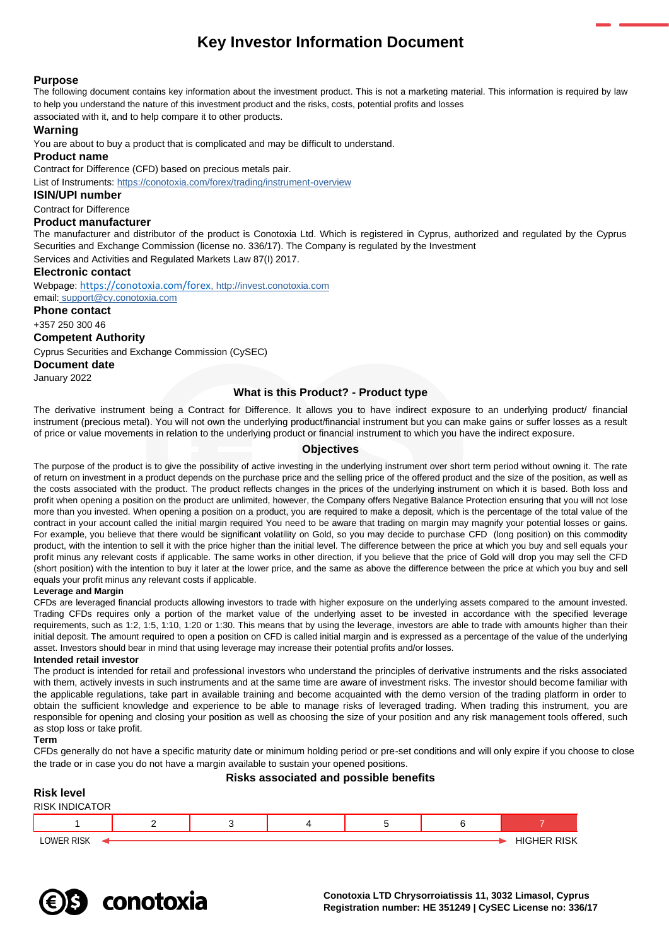# **Key Investor Information Document**

# **Purpose**

The following document contains key information about the investment product. This is not a marketing material. This information is required by law to help you understand the nature of this investment product and the risks, costs, potential profits and losses

associated with it, and to help compare it to other products.

# **Warning**

You are about to buy a product that is complicated and may be difficult to understand.

### **Product name**

Contract for Difference (CFD) based on precious metals pair.

List of Instruments: <https://conotoxia.com/forex/trading/instrument-overview>

**ISIN/UPI number**

#### Contract for Difference

# **Product manufacturer**

The manufacturer and distributor of the product is Conotoxia Ltd. Which is registered in Cyprus, authorized and regulated by the Cyprus Securities and Exchange Commission (license no. 336/17). The Company is regulated by the Investment

Services and Activities and Regulated Markets Law 87(I) 2017.

## **Electronic contact**

Webpage: <https://conotoxia.com/forex>, http://invest.conotoxia.com email: support@cy.conotoxia.com

## **Phone contact**

+357 250 300 46

# **Competent Authority**

Cyprus Securities and Exchange Commission (CySEC)

**Document date**

January 2022

# **What is this Product? - Product type**

The derivative instrument being a Contract for Difference. It allows you to have indirect exposure to an underlying product/ financial instrument (precious metal). You will not own the underlying product/financial instrument but you can make gains or suffer losses as a result of price or value movements in relation to the underlying product or financial instrument to which you have the indirect exposure.

# **Objectives**

The purpose of the product is to give the possibility of active investing in the underlying instrument over short term period without owning it. The rate of return on investment in a product depends on the purchase price and the selling price of the offered product and the size of the position, as well as the costs associated with the product. The product reflects changes in the prices of the underlying instrument on which it is based. Both loss and profit when opening a position on the product are unlimited, however, the Company offers Negative Balance Protection ensuring that you will not lose more than you invested. When opening a position on a product, you are required to make a deposit, which is the percentage of the total value of the contract in your account called the initial margin required You need to be aware that trading on margin may magnify your potential losses or gains. For example, you believe that there would be significant volatility on Gold, so you may decide to purchase CFD (long position) on this commodity product, with the intention to sell it with the price higher than the initial level. The difference between the price at which you buy and sell equals your profit minus any relevant costs if applicable. The same works in other direction, if you believe that the price of Gold will drop you may sell the CFD (short position) with the intention to buy it later at the lower price, and the same as above the difference between the price at which you buy and sell equals your profit minus any relevant costs if applicable.

## **Leverage and Margin**

CFDs are leveraged financial products allowing investors to trade with higher exposure on the underlying assets compared to the amount invested. Trading CFDs requires only a portion of the market value of the underlying asset to be invested in accordance with the specified leverage requirements, such as 1:2, 1:5, 1:10, 1:20 or 1:30. This means that by using the leverage, investors are able to trade with amounts higher than their initial deposit. The amount required to open a position on CFD is called initial margin and is expressed as a percentage of the value of the underlying asset. Investors should bear in mind that using leverage may increase their potential profits and/or losses.

## **Intended retail investor**

The product is intended for retail and professional investors who understand the principles of derivative instruments and the risks associated with them, actively invests in such instruments and at the same time are aware of investment risks. The investor should become familiar with the applicable regulations, take part in available training and become acquainted with the demo version of the trading platform in order to obtain the sufficient knowledge and experience to be able to manage risks of leveraged trading. When trading this instrument, you are responsible for opening and closing your position as well as choosing the size of your position and any risk management tools offered, such as stop loss or take profit.

#### **Term**

CFDs generally do not have a specific maturity date or minimum holding period or pre-set conditions and will only expire if you choose to close the trade or in case you do not have a margin available to sustain your opened positions.

# **Risks associated and possible benefits**



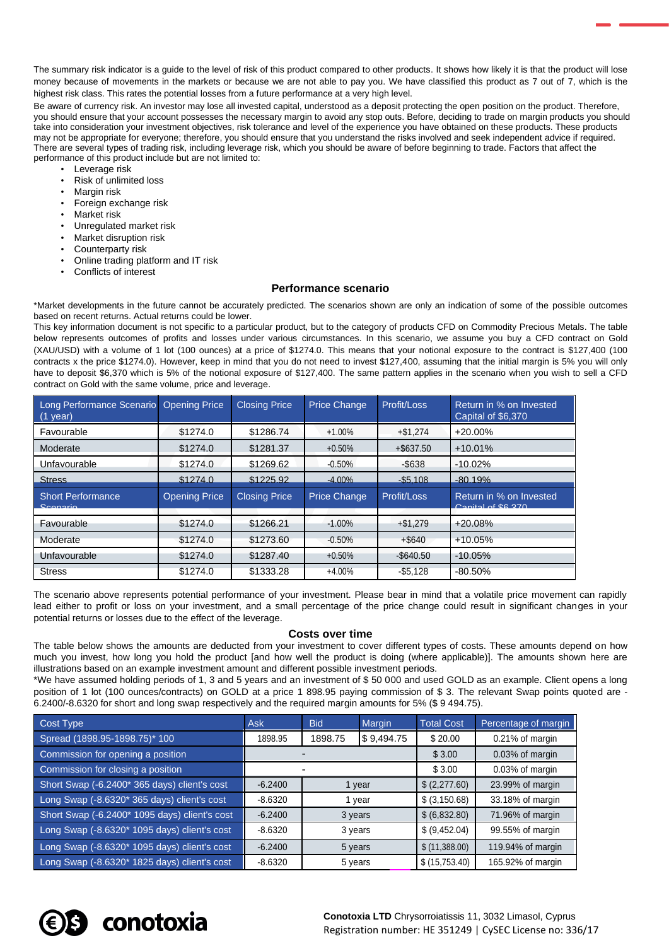The summary risk indicator is a guide to the level of risk of this product compared to other products. It shows how likely it is that the product will lose money because of movements in the markets or because we are not able to pay you. We have classified this product as 7 out of 7, which is the highest risk class. This rates the potential losses from a future performance at a very high level.

Be aware of currency risk. An investor may lose all invested capital, understood as a deposit protecting the open position on the product. Therefore, you should ensure that your account possesses the necessary margin to avoid any stop outs. Before, deciding to trade on margin products you should take into consideration your investment objectives, risk tolerance and level of the experience you have obtained on these products. These products may not be appropriate for everyone; therefore, you should ensure that you understand the risks involved and seek independent advice if required. There are several types of trading risk, including leverage risk, which you should be aware of before beginning to trade. Factors that affect the performance of this product include but are not limited to:

- Leverage risk
- Risk of unlimited loss
- Margin risk
- Foreign exchange risk
- Market risk
- Unregulated market risk
- Market disruption risk
- Counterparty risk
- Online trading platform and IT risk
- Conflicts of interest

# **Performance scenario**

\*Market developments in the future cannot be accurately predicted. The scenarios shown are only an indication of some of the possible outcomes based on recent returns. Actual returns could be lower.

This key information document is not specific to a particular product, but to the category of products CFD on Commodity Precious Metals. The table below represents outcomes of profits and losses under various circumstances. In this scenario, we assume you buy a CFD contract on Gold (XAU/USD) with a volume of 1 lot (100 ounces) at a price of \$1274.0. This means that your notional exposure to the contract is \$127,400 (100 contracts x the price \$1274.0). However, keep in mind that you do not need to invest \$127,400, assuming that the initial margin is 5% you will only have to deposit \$6,370 which is 5% of the notional exposure of \$127,400. The same pattern applies in the scenario when you wish to sell a CFD contract on Gold with the same volume, price and leverage.

| Long Performance Scenario Opening Price<br>$(1$ year) |                      | <b>Closing Price</b> | <b>Price Change</b> | Profit/Loss  | Return in % on Invested<br>Capital of \$6,370 |
|-------------------------------------------------------|----------------------|----------------------|---------------------|--------------|-----------------------------------------------|
| Favourable                                            | \$1274.0             | \$1286.74            | $+1.00%$            | $+ $1.274$   | $+20.00%$                                     |
| Moderate                                              | \$1274.0             | \$1281.37            | $+0.50%$            | $+$ \$637.50 | $+10.01%$                                     |
| Unfavourable                                          | \$1274.0             | \$1269.62            | $-0.50%$            | $-$ \$638    | $-10.02%$                                     |
| <b>Stress</b>                                         | \$1274.0             | \$1225.92            | $-4.00\%$           | $-$5.108$    | $-80.19%$                                     |
|                                                       |                      |                      |                     |              |                                               |
| <b>Short Performance</b><br>Scongrio                  | <b>Opening Price</b> | <b>Closing Price</b> | <b>Price Change</b> | Profit/Loss  | Return in % on Invested<br>Conital of CG 270  |
| Favourable                                            | \$1274.0             | \$1266.21            | $-1.00%$            | $+ $1,279$   | $+20.08%$                                     |
| Moderate                                              | \$1274.0             | \$1273.60            | $-0.50%$            | $+$ \$640    | $+10.05%$                                     |
| Unfavourable                                          | \$1274.0             | \$1287.40            | $+0.50%$            | $-$ \$640.50 | $-10.05%$                                     |

The scenario above represents potential performance of your investment. Please bear in mind that a volatile price movement can rapidly lead either to profit or loss on your investment, and a small percentage of the price change could result in significant changes in your potential returns or losses due to the effect of the leverage.

#### **Costs over time**

The table below shows the amounts are deducted from your investment to cover different types of costs. These amounts depend on how much you invest, how long you hold the product [and how well the product is doing (where applicable)]. The amounts shown here are illustrations based on an example investment amount and different possible investment periods.

\*We have assumed holding periods of 1, 3 and 5 years and an investment of \$ 50 000 and used GOLD as an example. Client opens a long position of 1 lot (100 ounces/contracts) on GOLD at a price 1 898.95 paying commission of \$ 3. The relevant Swap points quoted are - 6.2400/-8.6320 for short and long swap respectively and the required margin amounts for 5% (\$ 9 494.75).

| Cost Type                                     | <b>Ask</b> | <b>Bid</b> | Margin     | <b>Total Cost</b> | Percentage of margin |
|-----------------------------------------------|------------|------------|------------|-------------------|----------------------|
| Spread (1898.95-1898.75)* 100                 | 1898.95    | 1898.75    | \$9,494.75 | \$20.00           | 0.21% of margin      |
| Commission for opening a position             |            |            | \$3.00     | 0.03% of margin   |                      |
| Commission for closing a position             |            |            | \$3.00     | 0.03% of margin   |                      |
| Short Swap (-6.2400* 365 days) client's cost  | $-6.2400$  | 1 year     |            | \$(2,277.60)      | 23.99% of margin     |
| Long Swap (-8.6320* 365 days) client's cost   | $-8.6320$  | 1 year     |            | \$ (3,150.68)     | 33.18% of margin     |
| Short Swap (-6.2400* 1095 days) client's cost | $-6.2400$  | 3 years    |            | \$(6,832.80)      | 71.96% of margin     |
| Long Swap (-8.6320* 1095 days) client's cost  | $-8.6320$  | 3 years    |            | \$ (9,452.04)     | 99.55% of margin     |
| Long Swap (-8.6320* 1095 days) client's cost  | $-6.2400$  | 5 years    |            | \$ (11,388.00)    | 119.94% of margin    |
| Long Swap (-8.6320* 1825 days) client's cost  | $-8.6320$  | 5 years    |            | \$(15,753.40)     | 165.92% of margin    |